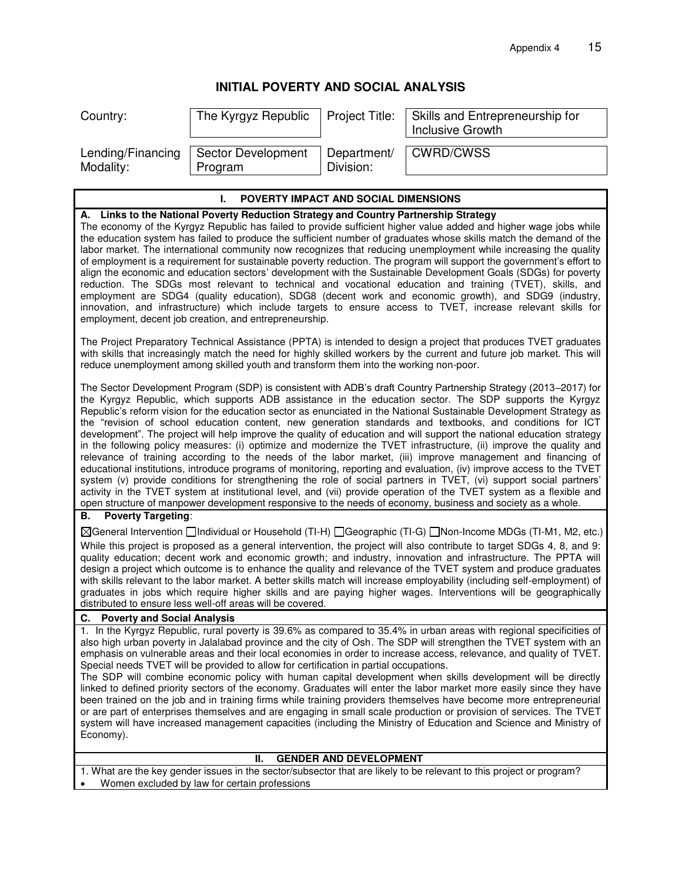# **INITIAL POVERTY AND SOCIAL ANALYSIS**

| Country:          | The Kyrgyz Republic       | Project Title: | Skills and Entrepreneurship for<br>Inclusive Growth |
|-------------------|---------------------------|----------------|-----------------------------------------------------|
| Lending/Financing | <b>Sector Development</b> | Department/    | <b>CWRD/CWSS</b>                                    |
| Modality:         | Program                   | Division:      |                                                     |

# **I. POVERTY IMPACT AND SOCIAL DIMENSIONS A. Links to the National Poverty Reduction Strategy and Country Partnership Strategy**  The economy of the Kyrgyz Republic has failed to provide sufficient higher value added and higher wage jobs while

the education system has failed to produce the sufficient number of graduates whose skills match the demand of the labor market. The international community now recognizes that reducing unemployment while increasing the quality of employment is a requirement for sustainable poverty reduction. The program will support the government's effort to align the economic and education sectors' development with the Sustainable Development Goals (SDGs) for poverty reduction. The SDGs most relevant to technical and vocational education and training (TVET), skills, and employment are SDG4 (quality education), SDG8 (decent work and economic growth), and SDG9 (industry, innovation, and infrastructure) which include targets to ensure access to TVET, increase relevant skills for employment, decent job creation, and entrepreneurship.

The Project Preparatory Technical Assistance (PPTA) is intended to design a project that produces TVET graduates with skills that increasingly match the need for highly skilled workers by the current and future job market. This will reduce unemployment among skilled youth and transform them into the working non-poor.

The Sector Development Program (SDP) is consistent with ADB's draft Country Partnership Strategy (2013–2017) for the Kyrgyz Republic, which supports ADB assistance in the education sector. The SDP supports the Kyrgyz Republic's reform vision for the education sector as enunciated in the National Sustainable Development Strategy as the "revision of school education content, new generation standards and textbooks, and conditions for ICT development". The project will help improve the quality of education and will support the national education strategy in the following policy measures: (i) optimize and modernize the TVET infrastructure, (ii) improve the quality and relevance of training according to the needs of the labor market, (iii) improve management and financing of educational institutions, introduce programs of monitoring, reporting and evaluation, (iv) improve access to the TVET system (v) provide conditions for strengthening the role of social partners in TVET, (vi) support social partners' activity in the TVET system at institutional level, and (vii) provide operation of the TVET system as a flexible and open structure of manpower development responsive to the needs of economy, business and society as a whole.

#### **B. Poverty Targeting**:

General Intervention Individual or Household (TI-H) Geographic (TI-G) Non-Income MDGs (TI-M1, M2, etc.) While this project is proposed as a general intervention, the project will also contribute to target SDGs 4, 8, and 9: quality education; decent work and economic growth; and industry, innovation and infrastructure. The PPTA will design a project which outcome is to enhance the quality and relevance of the TVET system and produce graduates with skills relevant to the labor market. A better skills match will increase employability (including self-employment) of graduates in jobs which require higher skills and are paying higher wages. Interventions will be geographically distributed to ensure less well-off areas will be covered.

#### **C. Poverty and Social Analysis**

1. In the Kyrgyz Republic, rural poverty is 39.6% as compared to 35.4% in urban areas with regional specificities of also high urban poverty in Jalalabad province and the city of Osh. The SDP will strengthen the TVET system with an emphasis on vulnerable areas and their local economies in order to increase access, relevance, and quality of TVET. Special needs TVET will be provided to allow for certification in partial occupations.

The SDP will combine economic policy with human capital development when skills development will be directly linked to defined priority sectors of the economy. Graduates will enter the labor market more easily since they have been trained on the job and in training firms while training providers themselves have become more entrepreneurial or are part of enterprises themselves and are engaging in small scale production or provision of services. The TVET system will have increased management capacities (including the Ministry of Education and Science and Ministry of Economy).

### **II. GENDER AND DEVELOPMENT**

1. What are the key gender issues in the sector/subsector that are likely to be relevant to this project or program?

Women excluded by law for certain professions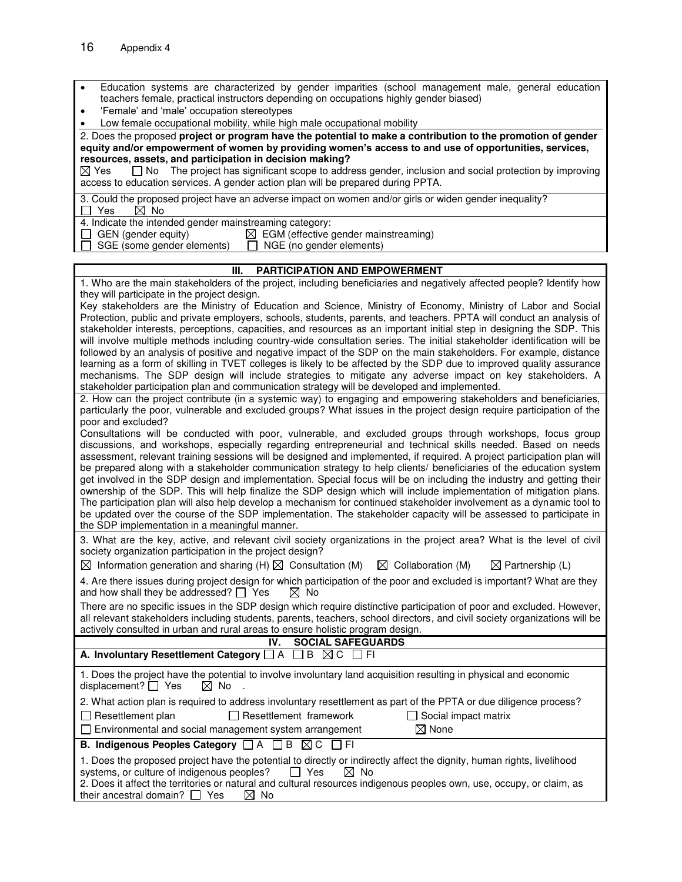|  |  | Education systems are characterized by gender imparities (school management male, general education |  |  |  |  |
|--|--|-----------------------------------------------------------------------------------------------------|--|--|--|--|
|  |  | teachers female, practical instructors depending on occupations highly gender biased)               |  |  |  |  |

- 'Female' and 'male' occupation stereotypes
- Low female occupational mobility, while high male occupational mobility

2. Does the proposed **project or program have the potential to make a contribution to the promotion of gender equity and/or empowerment of women by providing women's access to and use of opportunities, services, resources, assets, and participation in decision making?**<br> $\boxtimes$  Yes  $\Box$  No The project has significant scope to address

 $\Box$  No The project has significant scope to address gender, inclusion and social protection by improving access to education services. A gender action plan will be prepared during PPTA.

3. Could the proposed project have an adverse impact on women and/or girls or widen gender inequality?<br>  $\Box$  Yes  $\Box$  No  $\Box$  Yes

4. Indicate the intended gender mainstreaming category:

| $\Box$ GEN (gender equity)        | $\boxtimes$ EGM (effective gender mainstreaming) |
|-----------------------------------|--------------------------------------------------|
| $\Box$ SGE (some gender elements) | $\Box$ NGE (no gender elements)                  |

## **III. PARTICIPATION AND EMPOWERMENT**

| 1. Who are the main stakeholders of the project, including beneficiaries and negatively affected people? Identify how                                                                                                                       |
|---------------------------------------------------------------------------------------------------------------------------------------------------------------------------------------------------------------------------------------------|
| they will participate in the project design.<br>Key stakeholders are the Ministry of Education and Science, Ministry of Economy, Ministry of Labor and Social                                                                               |
| Protection, public and private employers, schools, students, parents, and teachers. PPTA will conduct an analysis of                                                                                                                        |
| stakeholder interests, perceptions, capacities, and resources as an important initial step in designing the SDP. This                                                                                                                       |
| will involve multiple methods including country-wide consultation series. The initial stakeholder identification will be                                                                                                                    |
| followed by an analysis of positive and negative impact of the SDP on the main stakeholders. For example, distance                                                                                                                          |
| learning as a form of skilling in TVET colleges is likely to be affected by the SDP due to improved quality assurance                                                                                                                       |
| mechanisms. The SDP design will include strategies to mitigate any adverse impact on key stakeholders. A                                                                                                                                    |
| stakeholder participation plan and communication strategy will be developed and implemented.<br>2. How can the project contribute (in a systemic way) to engaging and empowering stakeholders and beneficiaries,                            |
| particularly the poor, vulnerable and excluded groups? What issues in the project design require participation of the                                                                                                                       |
| poor and excluded?                                                                                                                                                                                                                          |
| Consultations will be conducted with poor, vulnerable, and excluded groups through workshops, focus group                                                                                                                                   |
| discussions, and workshops, especially regarding entrepreneurial and technical skills needed. Based on needs                                                                                                                                |
| assessment, relevant training sessions will be designed and implemented, if required. A project participation plan will                                                                                                                     |
| be prepared along with a stakeholder communication strategy to help clients/ beneficiaries of the education system                                                                                                                          |
| get involved in the SDP design and implementation. Special focus will be on including the industry and getting their                                                                                                                        |
| ownership of the SDP. This will help finalize the SDP design which will include implementation of mitigation plans.<br>The participation plan will also help develop a mechanism for continued stakeholder involvement as a dynamic tool to |
| be updated over the course of the SDP implementation. The stakeholder capacity will be assessed to participate in                                                                                                                           |
| the SDP implementation in a meaningful manner.                                                                                                                                                                                              |
| 3. What are the key, active, and relevant civil society organizations in the project area? What is the level of civil                                                                                                                       |
| society organization participation in the project design?                                                                                                                                                                                   |
| $\boxtimes$ Information generation and sharing (H) $\boxtimes$ Consultation (M) $\boxtimes$ Collaboration (M)<br>$\boxtimes$ Partnership (L)                                                                                                |
| 4. Are there issues during project design for which participation of the poor and excluded is important? What are they                                                                                                                      |
| and how shall they be addressed? $\Box$ Yes<br>$\boxtimes$ No                                                                                                                                                                               |
| There are no specific issues in the SDP design which require distinctive participation of poor and excluded. However,                                                                                                                       |
| all relevant stakeholders including students, parents, teachers, school directors, and civil society organizations will be                                                                                                                  |
| actively consulted in urban and rural areas to ensure holistic program design.                                                                                                                                                              |
| IV.<br><b>SOCIAL SAFEGUARDS</b><br>A. Involuntary Resettlement Category $\Box$ A $\Box$ B $\boxtimes$ C $\Box$ FI                                                                                                                           |
|                                                                                                                                                                                                                                             |
| 1. Does the project have the potential to involve involuntary land acquisition resulting in physical and economic<br>displacement? $\Box$ Yes<br>$\boxtimes$ No                                                                             |
| 2. What action plan is required to address involuntary resettlement as part of the PPTA or due diligence process?                                                                                                                           |
| $\Box$ Resettlement framework<br>$\Box$ Resettlement plan<br>$\Box$ Social impact matrix                                                                                                                                                    |
| $\boxtimes$ None<br>□ Environmental and social management system arrangement                                                                                                                                                                |
| B. Indigenous Peoples Category □ A □ B ⊠ C □ FI                                                                                                                                                                                             |
|                                                                                                                                                                                                                                             |
| 1. Does the proposed project have the potential to directly or indirectly affect the dignity, human rights, livelihood<br>systems, or culture of indigenous peoples?<br>$\Box$ Yes<br>$\boxtimes$ No                                        |
| 2. Does it affect the territories or natural and cultural resources indigenous peoples own, use, occupy, or claim, as                                                                                                                       |
| their ancestral domain? $\Box$ Yes<br>$\boxtimes$ No                                                                                                                                                                                        |